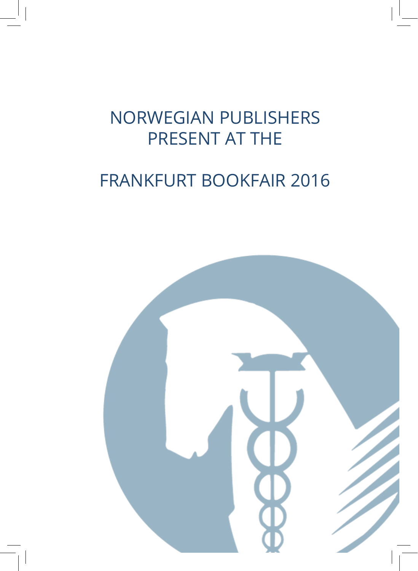## NORWEGIAN PUBLISHERS PRESENT AT THE

# FRANKFURT BOOKFAIR 2016

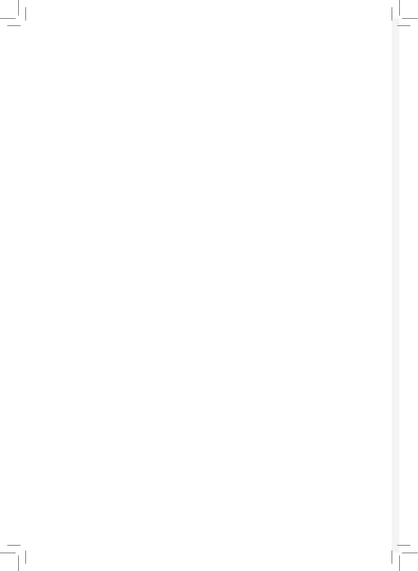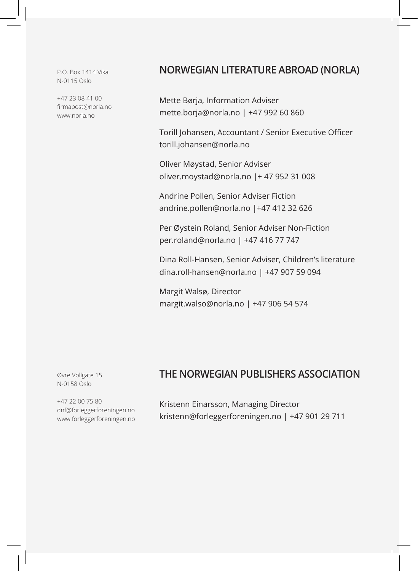P.O. Box 1414 Vika N-0115 Oslo

+47 23 08 41 00 firmapost@norla.no www.norla.no

#### **NORWEGIAN LITERATURE ABROAD (NORLA)**

Mette Børja, Information Adviser mette.borja@norla.no | +47 992 60 860

Torill Johansen, Accountant / Senior Executive Officer torill.johansen@norla.no

Oliver Møystad, Senior Adviser oliver.moystad@norla.no |+ 47 952 31 008

Andrine Pollen, Senior Adviser Fiction andrine.pollen@norla.no |+47 412 32 626

Per Øystein Roland, Senior Adviser Non-Fiction per.roland@norla.no | +47 416 77 747

Dina Roll-Hansen, Senior Adviser, Children's literature dina.roll-hansen@norla.no | +47 907 59 094

Margit Walsø, Director margit.walso@norla.no | +47 906 54 574

Øvre Vollgate 15 N-0158 Oslo

+47 22 00 75 80 dnf@forleggerforeningen.no www.forleggerforeningen.no

## **THE NORWEGIAN PUBLISHERS ASSOCIATION**

Kristenn Einarsson, Managing Director kristenn@forleggerforeningen.no | +47 901 29 711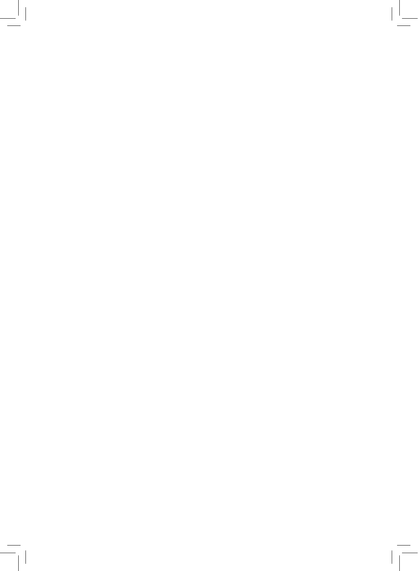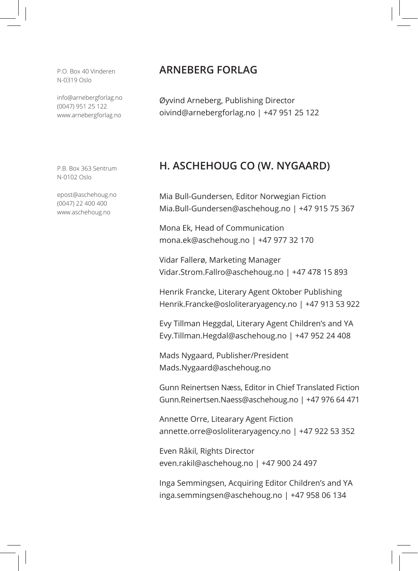P.O. Box 40 Vinderen N-0319 Oslo

info@arnebergforlag.no (0047) 951 25 122 www.arnebergforlag.no

P.B. Box 363 Sentrum N-0102 Oslo

epost@aschehoug.no (0047) 22 400 400 www.aschehoug.no

#### **ARNEBERG FORLAG**

Øyvind Arneberg, Publishing Director oivind@arnebergforlag.no | +47 951 25 122

## **H. ASCHEHOUG CO (W. NYGAARD)**

Mia Bull-Gundersen, Editor Norwegian Fiction Mia.Bull-Gundersen@aschehoug.no | +47 915 75 367

Mona Ek, Head of Communication mona.ek@aschehoug.no | +47 977 32 170

Vidar Fallerø, Marketing Manager Vidar.Strom.Fallro@aschehoug.no | +47 478 15 893

Henrik Francke, Literary Agent Oktober Publishing Henrik.Francke@osloliteraryagency.no | +47 913 53 922

Evy Tillman Heggdal, Literary Agent Children's and YA Evy.Tillman.Hegdal@aschehoug.no | +47 952 24 408

Mads Nygaard, Publisher/President Mads.Nygaard@aschehoug.no

Gunn Reinertsen Næss, Editor in Chief Translated Fiction Gunn.Reinertsen.Naess@aschehoug.no | +47 976 64 471

Annette Orre, Litearary Agent Fiction annette.orre@osloliteraryagency.no | +47 922 53 352

Even Råkil, Rights Director even.rakil@aschehoug.no | +47 900 24 497

Inga Semmingsen, Acquiring Editor Children's and YA inga.semmingsen@aschehoug.no | +47 958 06 134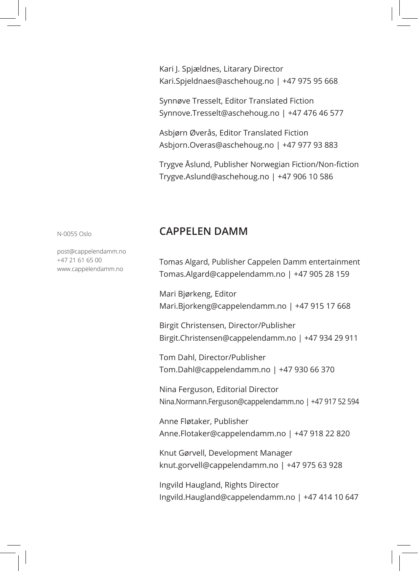Kari J. Spjældnes, Litarary Director Kari.Spjeldnaes@aschehoug.no | +47 975 95 668

Synnøve Tresselt, Editor Translated Fiction Synnove.Tresselt@aschehoug.no | +47 476 46 577

Asbjørn Øverås, Editor Translated Fiction Asbjorn.Overas@aschehoug.no | +47 977 93 883

Trygve Åslund, Publisher Norwegian Fiction/Non-fiction Trygve.Aslund@aschehoug.no | +47 906 10 586

N-0055 Oslo

post@cappelendamm.no +47 21 61 65 00 www.cappelendamm.no

## **CAPPELEN DAMM**

Tomas Algard, Publisher Cappelen Damm entertainment Tomas.Algard@cappelendamm.no | +47 905 28 159

Mari Bjørkeng, Editor Mari.Bjorkeng@cappelendamm.no | +47 915 17 668

Birgit Christensen, Director/Publisher Birgit.Christensen@cappelendamm.no | +47 934 29 911

Tom Dahl, Director/Publisher Tom.Dahl@cappelendamm.no | +47 930 66 370

Nina Ferguson, Editorial Director Nina.Normann.Ferguson@cappelendamm.no | +47 917 52 594

Anne Fløtaker, Publisher Anne.Flotaker@cappelendamm.no | +47 918 22 820

Knut Gørvell, Development Manager knut.gorvell@cappelendamm.no | +47 975 63 928

Ingvild Haugland, Rights Director Ingvild.Haugland@cappelendamm.no | +47 414 10 647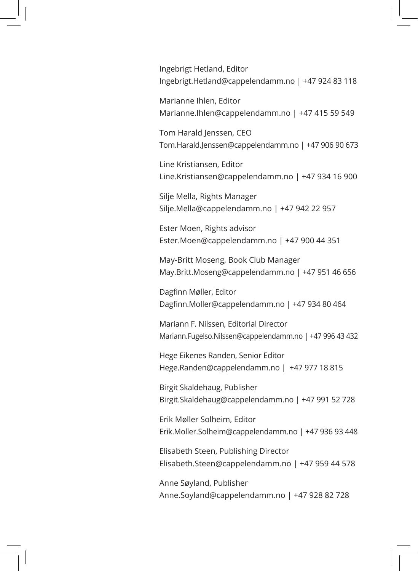Ingebrigt Hetland, Editor Ingebrigt.Hetland@cappelendamm.no | +47 924 83 118

Marianne Ihlen, Editor Marianne.Ihlen@cappelendamm.no | +47 415 59 549

Tom Harald Jenssen, CEO Tom.Harald.Jenssen@cappelendamm.no | +47 906 90 673

Line Kristiansen, Editor Line.Kristiansen@cappelendamm.no | +47 934 16 900

Silje Mella, Rights Manager Silje.Mella@cappelendamm.no | +47 942 22 957

Ester Moen, Rights advisor Ester.Moen@cappelendamm.no | +47 900 44 351

May-Britt Moseng, Book Club Manager May.Britt.Moseng@cappelendamm.no | +47 951 46 656

Dagfinn Møller, Editor Dagfinn.Moller@cappelendamm.no | +47 934 80 464

Mariann F. Nilssen, Editorial Director Mariann.Fugelso.Nilssen@cappelendamm.no | +47 996 43 432

Hege Eikenes Randen, Senior Editor Hege.Randen@cappelendamm.no | +47 977 18 815

Birgit Skaldehaug, Publisher Birgit.Skaldehaug@cappelendamm.no | +47 991 52 728

Erik Møller Solheim, Editor Erik.Moller.Solheim@cappelendamm.no | +47 936 93 448

Elisabeth Steen, Publishing Director Elisabeth.Steen@cappelendamm.no | +47 959 44 578

Anne Søyland, Publisher Anne.Soyland@cappelendamm.no | +47 928 82 728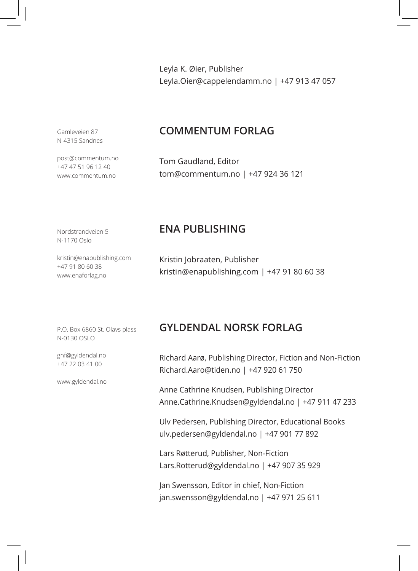Leyla K. Øier, Publisher Leyla.Oier@cappelendamm.no | +47 913 47 057

Gamleveien 87 N-4315 Sandnes

post@commentum.no +47 47 51 96 12 40 www.commentum.no

## **COMMENTUM FORLAG**

Tom Gaudland, Editor tom@commentum.no | +47 924 36 121

Nordstrandveien 5 N-1170 Oslo

#### **ENA PUBLISHING**

kristin@enapublishing.com +47 91 80 60 38 www.enaforlag.no

Kristin Jobraaten, Publisher kristin@enapublishing.com | +47 91 80 60 38

P.O. Box 6860 St. Olavs plass N-0130 OSLO

gnf@gyldendal.no +47 22 03 41 00

www.gyldendal.no

#### **GYLDENDAL NORSK FORLAG**

Richard Aarø, Publishing Director, Fiction and Non-Fiction Richard.Aaro@tiden.no | +47 920 61 750

Anne Cathrine Knudsen, Publishing Director Anne.Cathrine.Knudsen@gyldendal.no | +47 911 47 233

Ulv Pedersen, Publishing Director, Educational Books ulv.pedersen@gyldendal.no | +47 901 77 892

Lars Røtterud, Publisher, Non-Fiction Lars.Rotterud@gyldendal.no | +47 907 35 929

Jan Swensson, Editor in chief, Non-Fiction jan.swensson@gyldendal.no | +47 971 25 611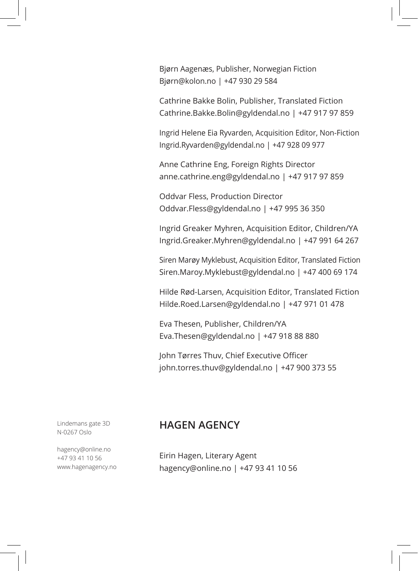Bjørn Aagenæs, Publisher, Norwegian Fiction Bjørn@kolon.no | +47 930 29 584

Cathrine Bakke Bolin, Publisher, Translated Fiction Cathrine.Bakke.Bolin@gyldendal.no | +47 917 97 859

Ingrid Helene Eia Ryvarden, Acquisition Editor, Non-Fiction Ingrid.Ryvarden@gyldendal.no | +47 928 09 977

Anne Cathrine Eng, Foreign Rights Director anne.cathrine.eng@gyldendal.no | +47 917 97 859

Oddvar Fless, Production Director Oddvar.Fless@gyldendal.no | +47 995 36 350

Ingrid Greaker Myhren, Acquisition Editor, Children/YA Ingrid.Greaker.Myhren@gyldendal.no | +47 991 64 267

Siren Marøy Myklebust, Acquisition Editor, Translated Fiction Siren.Maroy.Myklebust@gyldendal.no | +47 400 69 174

Hilde Rød-Larsen, Acquisition Editor, Translated Fiction Hilde.Roed.Larsen@gyldendal.no | +47 971 01 478

Eva Thesen, Publisher, Children/YA Eva.Thesen@gyldendal.no | +47 918 88 880

John Tørres Thuv, Chief Executive Officer john.torres.thuv@gyldendal.no | +47 900 373 55

Lindemans gate 3D N-0267 Oslo

hagency@online.no +47 93 41 10 56 www.hagenagency.no

## **HAGEN AGENCY**

Eirin Hagen, Literary Agent hagency@online.no | +47 93 41 10 56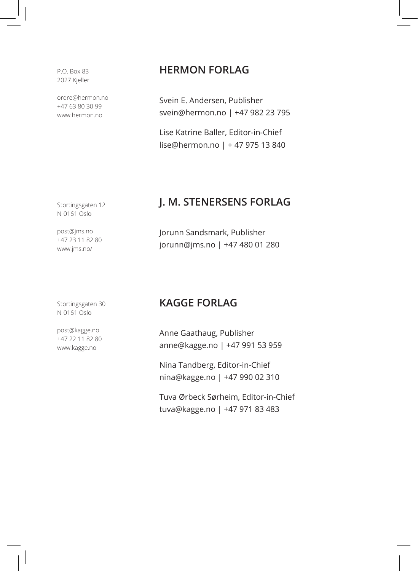P.O. Box 83 2027 Kjeller

ordre@hermon.no +47 63 80 30 99 www.hermon.no

## **HERMON FORLAG**

Svein E. Andersen, Publisher svein@hermon.no | +47 982 23 795

Lise Katrine Baller, Editor-in-Chief lise@hermon.no | + 47 975 13 840

## **J. M. STENERSENS FORLAG**

Jorunn Sandsmark, Publisher jorunn@jms.no | +47 480 01 280

## **KAGGE FORLAG**

Anne Gaathaug, Publisher anne@kagge.no | +47 991 53 959

Nina Tandberg, Editor-in-Chief nina@kagge.no | +47 990 02 310

Tuva Ørbeck Sørheim, Editor-in-Chief tuva@kagge.no | +47 971 83 483

Stortingsgaten 12 N-0161 Oslo

post@jms.no +47 23 11 82 80 www.jms.no/

Stortingsgaten 30 N-0161 Oslo

post@kagge.no +47 22 11 82 80 www.kagge.no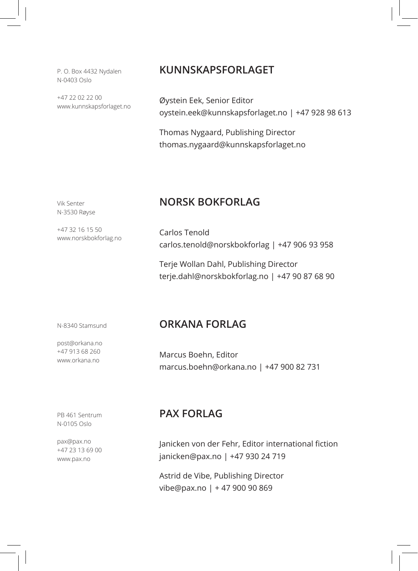P. O. Box 4432 Nydalen N-0403 Oslo

+47 22 02 22 00 www.kunnskapsforlaget.no

#### **KUNNSKAPSFORLAGET**

Øystein Eek, Senior Editor oystein.eek@kunnskapsforlaget.no | +47 928 98 613

Thomas Nygaard, Publishing Director thomas.nygaard@kunnskapsforlaget.no

Vik Senter N-3530 Røyse

+47 32 16 15 50 www.norskbokforlag.no

## **NORSK BOKFORLAG**

Carlos Tenold carlos.tenold@norskbokforlag | +47 906 93 958

Terje Wollan Dahl, Publishing Director terje.dahl@norskbokforlag.no | +47 90 87 68 90

N-8340 Stamsund

## **ORKANA FORLAG**

post@orkana.no +47 913 68 260 www.orkana.no

Marcus Boehn, Editor marcus.boehn@orkana.no | +47 900 82 731

PB 461 Sentrum N-0105 Oslo

pax@pax.no +47 23 13 69 00 www.pax.no

## **PAX FORLAG**

Janicken von der Fehr, Editor international fiction janicken@pax.no | +47 930 24 719

Astrid de Vibe, Publishing Director vibe@pax.no | + 47 900 90 869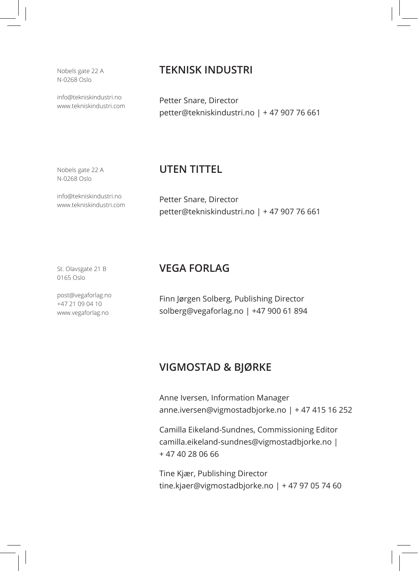Nobels gate 22 A N-0268 Oslo

info@tekniskindustri.no www.tekniskindustri.com

## **TEKNISK INDUSTRI**

Petter Snare, Director petter@tekniskindustri.no | + 47 907 76 661

#### Nobels gate 22 A N-0268 Oslo

## **UTEN TITTEL**

**VEGA FORLAG**

info@tekniskindustri.no www.tekniskindustri.com

Petter Snare, Director petter@tekniskindustri.no | + 47 907 76 661

St. Olavsgate 21 B 0165 Oslo

post@vegaforlag.no +47 21 09 04 10 www.vegaforlag.no

Finn Jørgen Solberg, Publishing Director solberg@vegaforlag.no | +47 900 61 894

## **VIGMOSTAD & BJØRKE**

Anne Iversen, Information Manager anne.iversen@vigmostadbjorke.no | + 47 415 16 252

Camilla Eikeland-Sundnes, Commissioning Editor camilla.eikeland-sundnes@vigmostadbjorke.no | + 47 40 28 06 66

Tine Kjær, Publishing Director tine.kjaer@vigmostadbjorke.no | + 47 97 05 74 60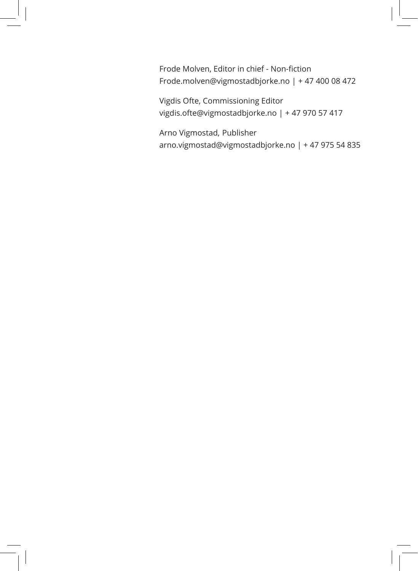Frode Molven, Editor in chief - Non-fiction Frode.molven@vigmostadbjorke.no | + 47 400 08 472

Vigdis Ofte, Commissioning Editor vigdis.ofte@vigmostadbjorke.no | + 47 970 57 417

Arno Vigmostad, Publisher arno.vigmostad@vigmostadbjorke.no | + 47 975 54 835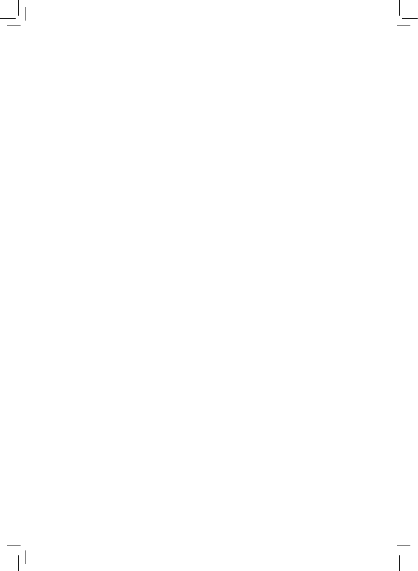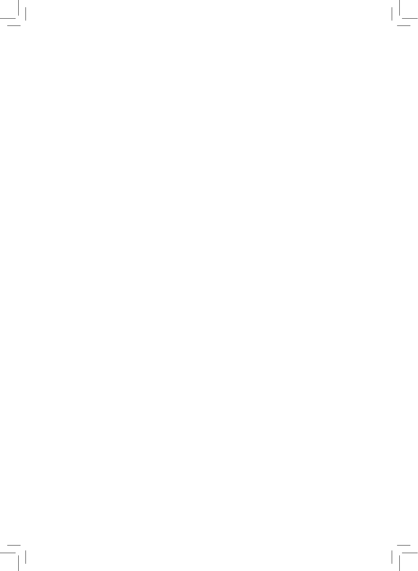